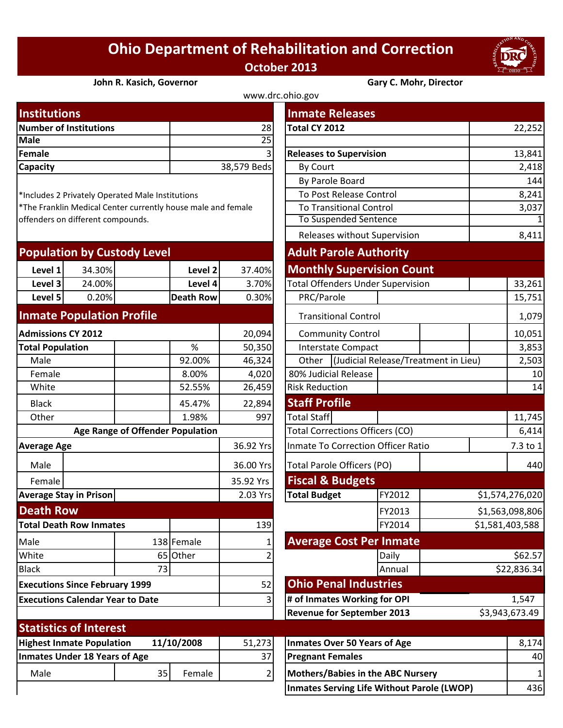## **Ohio Department of Rehabilitation and Correction October 2013**



## **John R. Kasich, Governor Gary C. Mohr, Director**

| www.drc.ohio.gov              |                |                                |        |  |  |  |
|-------------------------------|----------------|--------------------------------|--------|--|--|--|
| <b>Institutions</b>           |                | <b>Inmate Releases</b>         |        |  |  |  |
| <b>Number of Institutions</b> | 28             | Total CY 2012                  | 22,252 |  |  |  |
| Male                          | 25             |                                |        |  |  |  |
| Female                        | $\overline{3}$ | <b>Releases to Supervision</b> | 13,841 |  |  |  |
| <b>Capacity</b>               | 38,579 Beds    | By Court                       | 2,418  |  |  |  |
|                               |                |                                |        |  |  |  |

| <b>Population by Custody Level</b> |        |                  |        | <b>Adult Parole Authority</b>            |  |  |
|------------------------------------|--------|------------------|--------|------------------------------------------|--|--|
| Level 1                            | 34.30% | Level 2          | 37.40% | <b>Monthly Supervision Count</b>         |  |  |
| Level 3                            | 24.00% | Level 4          | 3.70%  | <b>Total Offenders Under Supervision</b> |  |  |
| Level 5                            | 0.20%  | <b>Death Row</b> | 0.30%  | PRC/Parole                               |  |  |
|                                    |        |                  |        |                                          |  |  |

## **Inmate Population Profile**

| <b>Admissions CY 2012</b>                      |                               |                                  | 20,094     | <b>Community Control</b>     |                                           |                                   |        |  |
|------------------------------------------------|-------------------------------|----------------------------------|------------|------------------------------|-------------------------------------------|-----------------------------------|--------|--|
| <b>Total Population</b>                        |                               |                                  | %          | 50,350                       | <b>Interstate Compact</b>                 |                                   |        |  |
| Male                                           |                               |                                  | 92.00%     | 46,324                       | (Judicial Release/Treatme<br>Other        |                                   |        |  |
|                                                |                               |                                  |            |                              |                                           |                                   |        |  |
| Female                                         |                               |                                  | 8.00%      | 4,020                        | 80% Judicial Release                      |                                   |        |  |
| White                                          |                               |                                  | 52.55%     | 26,459                       | <b>Risk Reduction</b>                     |                                   |        |  |
| <b>Black</b>                                   |                               |                                  | 45.47%     | 22,894                       |                                           | <b>Staff Profile</b>              |        |  |
| Other                                          |                               |                                  | 1.98%      | 997                          | <b>Total Staff</b>                        |                                   |        |  |
|                                                |                               | Age Range of Offender Population |            |                              | <b>Total Corrections Officers (CO)</b>    |                                   |        |  |
| <b>Average Age</b>                             |                               |                                  | 36.92 Yrs  |                              | <b>Inmate To Correction Officer Ratio</b> |                                   |        |  |
| Male                                           |                               |                                  |            | 36.00 Yrs                    |                                           | Total Parole Officers (PO)        |        |  |
| Female                                         |                               |                                  |            | 35.92 Yrs                    |                                           | <b>Fiscal &amp; Budgets</b>       |        |  |
| <b>Average Stay in Prison</b>                  |                               |                                  | 2.03 Yrs   | <b>Total Budget</b>          |                                           | FY2012                            |        |  |
| <b>Death Row</b>                               |                               |                                  |            |                              |                                           | FY2013                            |        |  |
| <b>Total Death Row Inmates</b>                 |                               |                                  | 139        |                              |                                           | FY2014                            |        |  |
| Male                                           |                               |                                  | 138 Female |                              | <b>Average Cost Per Inmate</b>            |                                   |        |  |
| White                                          |                               | 65                               | Other      |                              |                                           |                                   | Daily  |  |
| <b>Black</b>                                   |                               | 73                               |            |                              |                                           |                                   | Annual |  |
| <b>Executions Since February 1999</b>          |                               |                                  | 52         | <b>Ohio Penal Industries</b> |                                           |                                   |        |  |
| <b>Executions Calendar Year to Date</b>        |                               |                                  | 3          | # of Inmates Working for OPI |                                           |                                   |        |  |
|                                                |                               |                                  |            |                              |                                           | <b>Revenue for September 2013</b> |        |  |
|                                                | <b>Statistics of Interest</b> |                                  |            |                              |                                           |                                   |        |  |
| <b>Highest Inmate Population</b><br>11/10/2008 |                               |                                  | 51,273     |                              | <b>Inmates Over 50 Years of Age</b>       |                                   |        |  |
| <b>Inmates Under 18 Years of Age</b>           |                               |                                  | 37         |                              | <b>Pregnant Females</b>                   |                                   |        |  |
| Male                                           |                               | 35                               | Female     | 2                            | <b>Mothers/Babies in the ABC Nursery</b>  |                                   |        |  |
|                                                |                               |                                  |            |                              |                                           |                                   |        |  |

| <b>Institutions</b>                                          |        |                                         |                    | <b>Inmate Releases</b>                    |                                          |                                      |              |                 |  |
|--------------------------------------------------------------|--------|-----------------------------------------|--------------------|-------------------------------------------|------------------------------------------|--------------------------------------|--------------|-----------------|--|
| <b>Number of Institutions</b>                                |        |                                         | 28                 | Total CY 2012                             |                                          |                                      | 22,252       |                 |  |
| Male                                                         |        |                                         |                    | $\overline{25}$                           |                                          |                                      |              |                 |  |
| <b>Female</b>                                                |        |                                         |                    |                                           | <b>Releases to Supervision</b>           |                                      |              | 13,841          |  |
| Capacity                                                     |        |                                         |                    | 38,579 Beds                               | <b>By Court</b>                          |                                      |              | 2,418           |  |
|                                                              |        |                                         |                    | By Parole Board                           |                                          |                                      | 144          |                 |  |
| *Includes 2 Privately Operated Male Institutions             |        |                                         |                    |                                           | To Post Release Control                  |                                      |              | 8,241           |  |
| *The Franklin Medical Center currently house male and female |        |                                         |                    |                                           | <b>To Transitional Control</b>           |                                      |              | 3,037           |  |
| offenders on different compounds.                            |        |                                         |                    | <b>To Suspended Sentence</b>              |                                          |                                      | $\mathbf{1}$ |                 |  |
|                                                              |        |                                         |                    |                                           | Releases without Supervision             |                                      | 8,411        |                 |  |
| <b>Population by Custody Level</b>                           |        |                                         |                    |                                           | <b>Adult Parole Authority</b>            |                                      |              |                 |  |
| Level 1                                                      | 34.30% |                                         | Level <sub>2</sub> | 37.40%                                    | <b>Monthly Supervision Count</b>         |                                      |              |                 |  |
| Level 3                                                      | 24.00% |                                         | Level 4            | 3.70%                                     | <b>Total Offenders Under Supervision</b> |                                      |              | 33,261          |  |
| Level 5                                                      | 0.20%  |                                         | <b>Death Row</b>   | 0.30%                                     | PRC/Parole                               |                                      |              | 15,751          |  |
| <b>Inmate Population Profile</b>                             |        |                                         |                    |                                           | <b>Transitional Control</b>              |                                      |              | 1,079           |  |
| <b>Admissions CY 2012</b>                                    |        |                                         |                    | 20,094                                    | <b>Community Control</b>                 |                                      |              | 10,051          |  |
| <b>Total Population</b>                                      |        |                                         | $\%$               | 50,350                                    | <b>Interstate Compact</b>                |                                      |              | 3,853           |  |
| Male                                                         |        |                                         | 92.00%             | 46,324                                    | Other                                    | (Judicial Release/Treatment in Lieu) |              |                 |  |
| Female                                                       |        |                                         | 8.00%              | 4,020                                     | 80% Judicial Release                     |                                      |              | 2,503<br>10     |  |
| White                                                        |        |                                         | 52.55%             | 26,459                                    | <b>Risk Reduction</b>                    |                                      |              | 14              |  |
| <b>Black</b>                                                 |        |                                         | 45.47%             | 22,894                                    | <b>Staff Profile</b>                     |                                      |              |                 |  |
| Other                                                        |        |                                         | 1.98%              | 997                                       | <b>Total Staff</b>                       |                                      |              | 11,745          |  |
|                                                              |        | <b>Age Range of Offender Population</b> |                    |                                           | <b>Total Corrections Officers (CO)</b>   |                                      |              | 6,414           |  |
| <b>Average Age</b>                                           |        |                                         | 36.92 Yrs          | <b>Inmate To Correction Officer Ratio</b> |                                          |                                      | 7.3 to 1     |                 |  |
| Male                                                         |        |                                         |                    | 36.00 Yrs                                 | <b>Total Parole Officers (PO)</b>        |                                      |              | 440             |  |
| Female                                                       |        |                                         |                    | 35.92 Yrs                                 | <b>Fiscal &amp; Budgets</b>              |                                      |              |                 |  |
| <b>Average Stay in Prison</b>                                |        |                                         |                    | 2.03 Yrs                                  | <b>Total Budget</b>                      | FY2012                               |              | \$1,574,276,020 |  |
| <b>Death Row</b>                                             |        |                                         |                    |                                           |                                          | FY2013                               |              | \$1,563,098,806 |  |
| <b>Total Death Row Inmates</b>                               |        |                                         |                    | 139                                       |                                          | FY2014                               |              | \$1,581,403,588 |  |
| Male                                                         |        |                                         | 138 Female         |                                           | <b>Average Cost Per Inmate</b>           |                                      |              |                 |  |
| White                                                        |        |                                         | 65 Other           |                                           |                                          | Daily                                |              | \$62.57         |  |
| <b>Black</b>                                                 |        | 73                                      |                    |                                           |                                          | Annual                               |              | \$22,836.34     |  |
| <b>Executions Since February 1999</b>                        |        |                                         |                    | 52                                        | <b>Ohio Penal Industries</b>             |                                      |              |                 |  |
| <b>Executions Calendar Year to Date</b>                      |        |                                         | 3                  | # of Inmates Working for OPI              |                                          |                                      | 1,547        |                 |  |
|                                                              |        |                                         |                    |                                           | <b>Revenue for September 2013</b>        |                                      |              | \$3,943,673.49  |  |
| <b>Statistics of Interest</b>                                |        |                                         |                    |                                           |                                          |                                      |              |                 |  |
| <b>Highest Inmate Population</b>                             |        |                                         | 11/10/2008         | 51,273                                    |                                          | <b>Inmates Over 50 Years of Age</b>  |              |                 |  |
| <b>Inmates Under 18 Years of Age</b>                         |        |                                         |                    | 37                                        | <b>Pregnant Females</b>                  |                                      |              | 40              |  |
| Male                                                         |        | 35                                      | Female             | 2                                         | <b>Mothers/Babies in the ABC Nursery</b> |                                      |              | 1               |  |

**Inmates Serving Life Without Parole (LWOP)** 436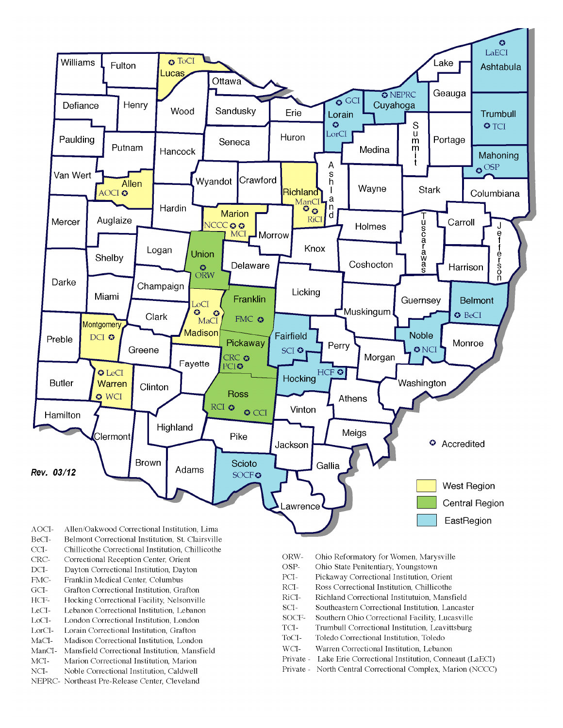

- BeCI-Belmont Correctional Institution, St. Clairsville
- $CCI-$ Chillicothe Correctional Institution, Chillicothe
- Correctional Reception Center, Orient CRC-
- $DCI-$ Dayton Correctional Institution, Dayton
- FMC-Franklin Medical Center, Columbus
- $\rm{GCI}\mbox{-}$ Grafton Correctional Institution, Grafton
- HCF-Hocking Correctional Facility, Nelsonville
- LeCI-Lebanon Correctional Institution, Lebanon
- LoCI-London Correctional Institution. London
- $\operatorname{LorCl-}$ Lorain Correctional Institution, Grafton
- $MaCI-$ Madison Correctional Institution, London
- ManCI-Mansfield Correctional Institution, Mansfield MCI-Marion Correctional Institution, Marion
- Noble Correctional Institution, Caldwell
- NCI-NEPRC- Northeast Pre-Release Center, Cleveland
- ORW-Ohio Reformatory for Women, Marysville
- OSP-Ohio State Penitentiary, Youngstown
- PCI-Pickaway Correctional Institution, Orient
- $\rm RCI-$ Ross Correctional Institution, Chillicothe
- RiCI-Richland Correctional Institutuion, Mansfield
- SCI-Southeastern Correctional Institution, Lancaster
- SOCF-Southern Ohio Correctional Facility, Lucasville
- TCI-Trumbull Correctional Institution, Leavittsburg
- ToCI-Toledo Correctional Institution, Toledo
- $WCI-$ Warren Correctional Institution, Lebanon
- Private Lake Erie Correctional Institution, Conneaut (LaECI)
- Private North Central Correctional Complex, Marion (NCCC)